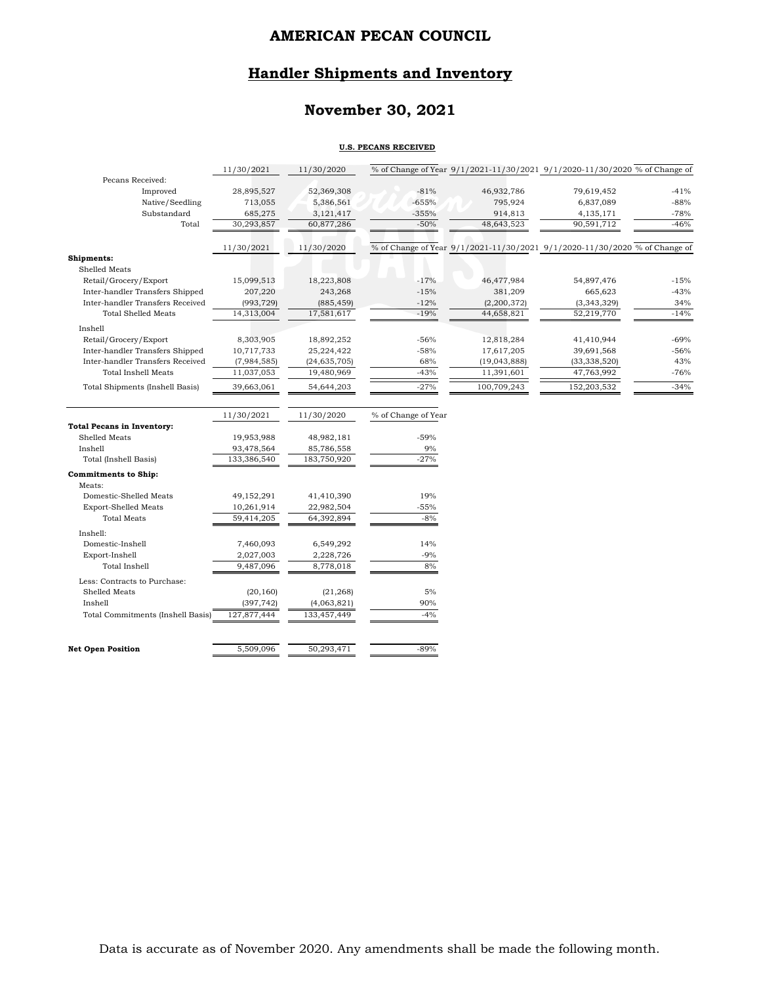# **Handler Shipments and Inventory**

# **November 30, 2021**

#### **U.S. PECANS RECEIVED**

|                                   | 11/30/2021                | 11/30/2020                |                     | % of Change of Year 9/1/2021-11/30/2021 9/1/2020-11/30/2020 % of Change of |                |        |
|-----------------------------------|---------------------------|---------------------------|---------------------|----------------------------------------------------------------------------|----------------|--------|
| Pecans Received:                  |                           |                           |                     |                                                                            |                |        |
| Improved                          | 28,895,527                | 52,369,308                | $-81%$              | 46,932,786                                                                 | 79,619,452     | $-41%$ |
| Native/Seedling                   | 713,055                   | 5,386,561                 | $-655%$             | 795,924                                                                    | 6,837,089      | $-88%$ |
| Substandard                       | 685,275                   | 3,121,417                 | $-355%$             | 914,813                                                                    | 4,135,171      | $-78%$ |
| Total                             | 30,293,857                | 60,877,286                | $-50%$              | 48,643,523                                                                 | 90,591,712     | $-46%$ |
|                                   | 11/30/2021                | 11/30/2020                |                     | % of Change of Year 9/1/2021-11/30/2021 9/1/2020-11/30/2020 % of Change of |                |        |
| Shipments:                        |                           |                           |                     |                                                                            |                |        |
| Shelled Meats                     |                           |                           |                     |                                                                            |                |        |
| Retail/Grocery/Export             | 15,099,513                | 18,223,808                | $-17%$              | 46,477,984                                                                 | 54,897,476     | $-15%$ |
| Inter-handler Transfers Shipped   | 207,220                   | 243,268                   | $-15%$              | 381,209                                                                    | 665,623        | $-43%$ |
| Inter-handler Transfers Received  | (993, 729)                | (885, 459)                | $-12%$              | (2,200,372)                                                                | (3,343,329)    | 34%    |
| <b>Total Shelled Meats</b>        | 14,313,004                | 17,581,617                | $-19%$              | 44,658,821                                                                 | 52,219,770     | $-14%$ |
| Inshell                           |                           |                           |                     |                                                                            |                |        |
| Retail/Grocery/Export             | 8,303,905                 | 18,892,252                | $-56%$              | 12,818,284                                                                 | 41,410,944     | $-69%$ |
| Inter-handler Transfers Shipped   | 10,717,733                | 25,224,422                | $-58%$              | 17,617,205                                                                 | 39,691,568     | $-56%$ |
| Inter-handler Transfers Received  | (7,984,585)               | (24, 635, 705)            | 68%                 | (19,043,888)                                                               | (33, 338, 520) | 43%    |
| Total Inshell Meats               | 11,037,053                | 19,480,969                | $-43%$              | 11,391,601                                                                 | 47,763,992     | $-76%$ |
| Total Shipments (Inshell Basis)   | 39,663,061                | 54,644,203                | $-27%$              | 100,709,243                                                                | 152,203,532    | $-34%$ |
|                                   |                           |                           |                     |                                                                            |                |        |
| <b>Total Pecans in Inventory:</b> | 11/30/2021                | 11/30/2020                | % of Change of Year |                                                                            |                |        |
| Shelled Meats                     |                           |                           | $-59%$              |                                                                            |                |        |
| Inshell                           | 19,953,988                | 48,982,181                | 9%                  |                                                                            |                |        |
| Total (Inshell Basis)             | 93,478,564<br>133,386,540 | 85,786,558<br>183,750,920 | $-27%$              |                                                                            |                |        |
|                                   |                           |                           |                     |                                                                            |                |        |
| Commitments to Ship:              |                           |                           |                     |                                                                            |                |        |
| Meats:                            |                           |                           |                     |                                                                            |                |        |
| Domestic-Shelled Meats            | 49,152,291                | 41,410,390                | 19%                 |                                                                            |                |        |
| <b>Export-Shelled Meats</b>       | 10,261,914                | 22,982,504                | $-55%$              |                                                                            |                |        |
| <b>Total Meats</b>                | 59,414,205                | 64,392,894                | $-8%$               |                                                                            |                |        |
| Inshell:                          |                           |                           |                     |                                                                            |                |        |
| Domestic-Inshell                  | 7,460,093                 | 6,549,292                 | 14%                 |                                                                            |                |        |
| Export-Inshell                    | 2,027,003                 | 2,228,726                 | $-9%$               |                                                                            |                |        |
| Total Inshell                     | 9,487,096                 | 8,778,018                 | 8%                  |                                                                            |                |        |
| Less: Contracts to Purchase:      |                           |                           |                     |                                                                            |                |        |
| Shelled Meats                     | (20, 160)                 | (21, 268)                 | 5%                  |                                                                            |                |        |
| Inshell                           | (397, 742)                | (4,063,821)               | 90%                 |                                                                            |                |        |
| Total Commitments (Inshell Basis) | 127,877,444               | 133,457,449               | $-4%$               |                                                                            |                |        |
|                                   |                           |                           |                     |                                                                            |                |        |
| <b>Net Open Position</b>          | 5,509,096                 | 50,293,471                | $-89%$              |                                                                            |                |        |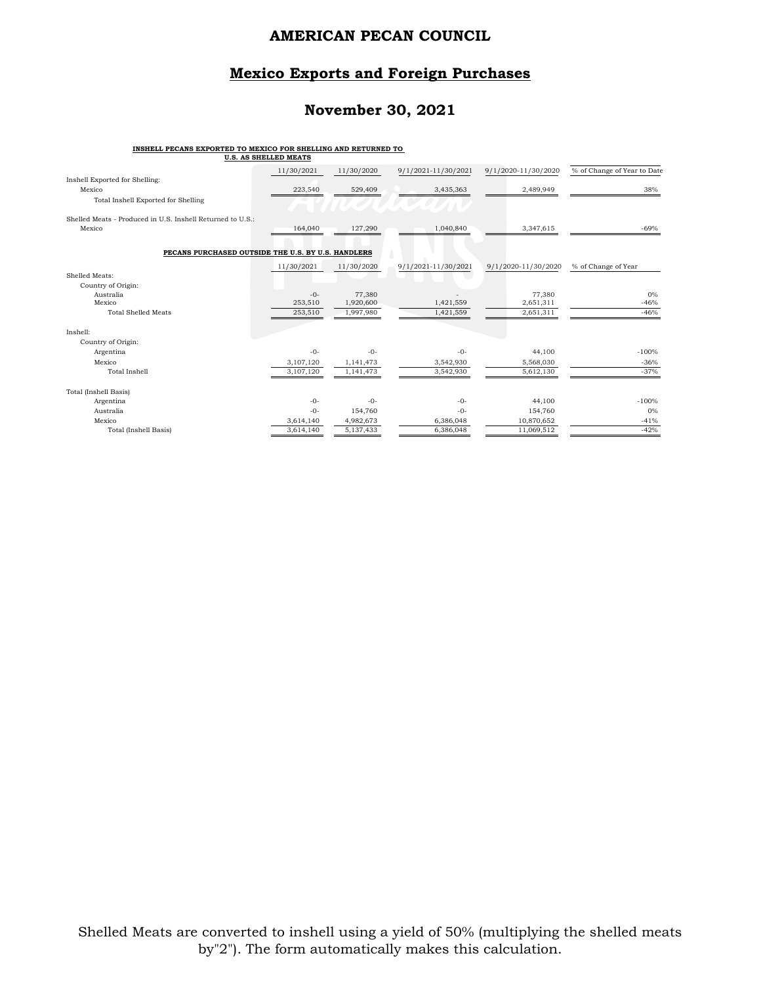### **Mexico Exports and Foreign Purchases**

### **November 30, 2021**

#### **INSHELL PECANS EXPORTED TO MEXICO FOR SHELLING AND RETURNED TO**

|                                                            | <b>U.S. AS SHELLED MEATS</b> |                     |                     |                     |                             |
|------------------------------------------------------------|------------------------------|---------------------|---------------------|---------------------|-----------------------------|
|                                                            | 11/30/2021                   | 11/30/2020          | 9/1/2021-11/30/2021 | 9/1/2020-11/30/2020 | % of Change of Year to Date |
| Inshell Exported for Shelling:<br>Mexico                   | 223,540                      | 529,409             | 3,435,363           | 2,489,949           | 38%                         |
| Total Inshell Exported for Shelling                        |                              |                     |                     |                     |                             |
|                                                            |                              |                     |                     |                     |                             |
| Shelled Meats - Produced in U.S. Inshell Returned to U.S.: |                              |                     |                     |                     |                             |
| Mexico                                                     | 164,040                      | 127,290             | 1,040,840           | 3,347,615           | $-69%$                      |
|                                                            |                              |                     |                     |                     |                             |
| PECANS PURCHASED OUTSIDE THE U.S. BY U.S. HANDLERS         |                              |                     |                     |                     |                             |
|                                                            | 11/30/2021                   | 11/30/2020          | 9/1/2021-11/30/2021 | 9/1/2020-11/30/2020 | % of Change of Year         |
| Shelled Meats:                                             |                              |                     |                     |                     |                             |
| Country of Origin:                                         |                              |                     |                     |                     |                             |
| Australia<br>Mexico                                        | $-0-$<br>253,510             | 77,380<br>1,920,600 | 1,421,559           | 77,380<br>2,651,311 | $0\%$<br>$-46%$             |
| <b>Total Shelled Meats</b>                                 | 253,510                      | 1,997,980           | 1,421,559           | 2,651,311           | $-46%$                      |
|                                                            |                              |                     |                     |                     |                             |
| Inshell:                                                   |                              |                     |                     |                     |                             |
| Country of Origin:                                         |                              |                     |                     |                     |                             |
| Argentina                                                  | $-0-$                        | $-0-$               | $-0-$               | 44,100              | $-100%$                     |
| Mexico                                                     | 3,107,120                    | 1,141,473           | 3,542,930           | 5,568,030           | $-36%$                      |
| <b>Total Inshell</b>                                       | 3,107,120                    | 1,141,473           | 3,542,930           | 5,612,130           | $-37%$                      |
| Total (Inshell Basis)                                      |                              |                     |                     |                     |                             |
| Argentina                                                  | $-0-$                        | $-0-$               | $-0-$               | 44,100              | $-100%$                     |
| Australia                                                  | $-()$ -                      | 154,760             | $-0-$               | 154,760             | 0%                          |
| Mexico                                                     | 3,614,140                    | 4,982,673           | 6,386,048           | 10,870,652          | $-41%$                      |
| Total (Inshell Basis)                                      | 3,614,140                    | 5,137,433           | 6,386,048           | 11,069,512          | $-42%$                      |
|                                                            |                              |                     |                     |                     |                             |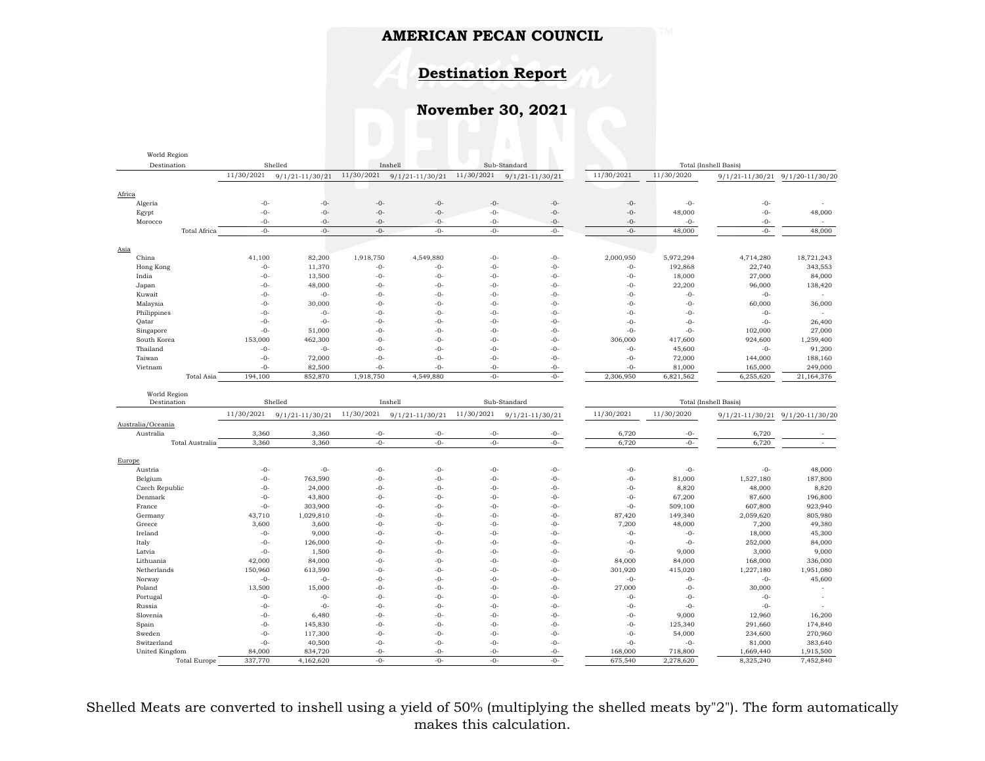# **Destination Report**

# **November 30, 2021**

| World Region                |                        |                     |                |                     |                |                     |                       |                |                       |                     |
|-----------------------------|------------------------|---------------------|----------------|---------------------|----------------|---------------------|-----------------------|----------------|-----------------------|---------------------|
|                             | Destination<br>Shelled |                     |                | Inshell             | Sub-Standard   |                     | Total (Inshell Basis) |                |                       |                     |
|                             | 11/30/2021             | $9/1/21 - 11/30/21$ | 11/30/2021     | $9/1/21 - 11/30/21$ | 11/30/2021     | $9/1/21 - 11/30/21$ | 11/30/2021            | 11/30/2020     | $9/1/21 - 11/30/21$   | $9/1/20 - 11/30/20$ |
|                             |                        |                     |                |                     |                |                     |                       |                |                       |                     |
| Africa                      |                        |                     |                |                     |                |                     |                       |                |                       |                     |
| Algeria                     | $-0-$                  | $-0-$               | $-0-$          | $-0-$               | $-0-$          | $-0-$               | $-0-$                 | $-0-$          | $-0-$                 |                     |
| Egypt                       | $-0-$                  | $-0-$               | $-0-$          | $-0-$               | $-0-$          | $-0-$               | $-0-$                 | 48,000         | $-0-$                 | 48,000              |
| Morocco                     | $-0-$                  | $-0-$               | $-0-$          | $-0-$               | $-0-$          | $-0-$               | $-0-$                 | $-0-$          | $-0-$                 |                     |
| <b>Total Africa</b>         | $-0-$                  | $-0-$               | $-0-$          | $-0-$               | $-0-$          | $-0-$               | $-0-$                 | 48,000         | $-0-$                 | 48,000              |
|                             |                        |                     |                |                     |                |                     |                       |                |                       |                     |
| Asia                        |                        |                     |                |                     |                |                     |                       |                |                       |                     |
| China                       | 41,100                 | 82,200              | 1,918,750      | 4,549,880           | $-0-$          | $-0-$               | 2,000,950             | 5,972,294      | 4,714,280             | 18,721,243          |
| Hong Kong                   | $-0-$                  | 11,370              | $-0-$          | $-0-$               | $-0-$          | $-0-$               | $-0-$                 | 192,868        | 22,740                | 343,553             |
| India                       | $-0-$                  | 13,500              | $-0-$          | $-0-$               | $-0-$          | $-0-$               | $-0-$                 | 18,000         | 27,000                | 84,000              |
| Japan                       | $-0-$                  | 48,000              | $-0-$          | $-0-$               | $-0-$          | $-0-$               | $-0-$                 | 22,200         | 96,000                | 138,420             |
| Kuwait                      | $-0-$                  | $-0-$               | $-0-$          | $-0-$               | $-0-$          | $-0-$               | $-0-$                 | $-0-$          | $-0-$                 | $\sim$              |
| Malaysia                    | $-0-$                  | 30,000              | $-0-$          | $-0-$               | $-0-$          | $-0-$               | $-0-$                 | $-0-$          | 60,000                | 36,000              |
| Philippines                 | $-0-$                  | $-0-$               | $-0-$          | $-0-$               | $-0-$          | $-0-$               | $-0-$                 | $-0-$          | $-0-$                 |                     |
| Qatar                       | $-0-$                  | $-0-$               | $-0-$          | $-0-$               | $-0-$          | $-0-$               | $-0-$                 | $-0-$          | $-0-$                 | 26,400              |
| Singapore                   | $-0-$                  | 51,000              | $-0-$          | $-0-$               | $-0-$          | $-0-$               | $-0-$                 | $-0-$          | 102,000               | 27,000              |
| South Korea                 | 153,000                | 462,300             | $-0-$          | $-0-$               | $-0-$          | $-0-$               | 306,000               | 417,600        | 924,600               | 1,259,400           |
| Thailand                    | $-0-$                  | $-0-$               | $-0-$          | $-0-$               | $-0-$          | $-0-$               | $-0-$                 | 45,600         | $-0-$                 | 91,200              |
| Taiwan                      | $-0-$                  | 72,000              | $-0-$          | $-0-$               | $-0-$          | $-0-$               | $-0-$                 | 72,000         | 144,000               | 188,160             |
| Vietnam                     | $-0-$                  | 82,500              | $-0-$          | $-0-$               | $-0-$          | $-0-$               | $-0-$                 | 81,000         | 165,000               | 249,000             |
| Total Asia                  | 194,100                | 852,870             | 1,918,750      | 4,549,880           | $-0-$          | $-0-$               | 2,306,950             | 6,821,562      | 6,255,620             | 21,164,376          |
|                             |                        |                     |                |                     |                |                     |                       |                |                       |                     |
| World Region<br>Destination |                        | Shelled             |                | Inshell             |                | Sub-Standard        |                       |                | Total (Inshell Basis) |                     |
|                             |                        |                     |                |                     |                |                     |                       |                |                       |                     |
|                             | 11/30/2021             | $9/1/21 - 11/30/21$ | 11/30/2021     | $9/1/21 - 11/30/21$ | 11/30/2021     | $9/1/21 - 11/30/21$ | 11/30/2021            | 11/30/2020     | 9/1/21-11/30/21       | 9/1/20-11/30/20     |
| Australia/Oceania           | 3,360                  | 3,360               |                |                     |                |                     | 6,720                 |                |                       |                     |
| Australia                   | 3,360                  | 3,360               | $-0-$<br>$-0-$ | $-0-$<br>$-0-$      | $-0-$<br>$-0-$ | $-0-$<br>$-0-$      | 6,720                 | $-0-$<br>$-0-$ | 6,720<br>6,720        | $\sim$              |
| Total Australia             |                        |                     |                |                     |                |                     |                       |                |                       |                     |
| Europe                      |                        |                     |                |                     |                |                     |                       |                |                       |                     |
| Austria                     | $-0-$                  | $-0-$               | $-0-$          | $-0-$               | $-0-$          | $-0-$               | $-0-$                 | $-0-$          | $-0-$                 | 48,000              |
| Belgium                     | $-0-$                  | 763,590             | $-0-$          | $-0-$               | $-0-$          | $-0-$               | $-0-$                 | 81,000         | 1,527,180             | 187,800             |
| Czech Republic              | $-0-$                  | 24,000              | $-0-$          | $-0-$               | $-0-$          | $-0-$               | $-0-$                 | 8,820          | 48,000                | 8,820               |
| Denmark                     | $-0-$                  | 43,800              | $-0-$          | $-0-$               | $-0-$          | $-0-$               | $-0-$                 | 67,200         | 87,600                | 196,800             |
| France                      | $-0-$                  | 303,900             | $-0-$          | $-0-$               | $-0-$          | $-0-$               | $-0-$                 | 509,100        | 607,800               | 923,940             |
| Germany                     | 43,710                 | 1,029,810           | $-0-$          | $-0-$               | $-0-$          | $-0-$               | 87,420                | 149,340        | 2,059,620             | 805,980             |
| Greece                      | 3,600                  | 3,600               | $-0-$          | $-0-$               | $-0-$          | $-0-$               | 7,200                 | 48,000         | 7,200                 | 49,380              |
| Ireland                     | $-0-$                  | 9,000               | $-0-$          | $-0-$               | $-0-$          | $-0-$               | $-0-$                 | $-0-$          | 18,000                | 45,300              |
| Italy                       | $-0-$                  | 126,000             | $-0-$          | $-0-$               | $-0-$          | -0-                 | $-0-$                 | $-0-$          | 252,000               | 84,000              |
| Latvia                      | $-0-$                  | 1,500               | $-0-$          | $-0-$               | $-0-$          | $-0-$               | $-0-$                 | 9,000          | 3,000                 | 9,000               |
| Lithuania                   | 42,000                 | 84,000              | $-0-$          | $-0-$               | $-0-$          | $-0-$               | 84,000                | 84,000         | 168,000               | 336,000             |
| Netherlands                 | 150,960                | 613,590             | $-0-$          | $-0-$               | $-0-$          | -0-                 | 301,920               | 415,020        | 1,227,180             | 1,951,080           |
| Norway                      | $-0-$                  | $-0-$               | $-0-$          | $-0-$               | $-0-$          | $-0-$               | $-0-$                 | $-0-$          | $-0-$                 | 45,600              |
| Poland                      | 13,500                 | 15,000              | $-0-$          | $-0-$               | $-0-$          | $-0-$               | 27,000                | $-0-$          | 30,000                | $\sim$              |
| Portugal                    | $-0-$                  | $-0-$               | $-0-$          | $-0-$               | $-0-$          | $-0-$               | $-0-$                 | $-0-$          | $-0-$                 |                     |
| Russia                      | $-0-$                  | $-0-$               | $-0-$          | $-0-$               | $-0-$          | $-0-$               | $-0-$                 | $-0-$          | $-0-$                 |                     |
| Slovenia                    | $-0-$                  | 6,480               | $-0-$          | $-0-$               | $-0-$          | $-0-$               | $-0-$                 | 9,000          | 12,960                | 16,200              |
| Spain                       | $-0-$                  | 145,830             | $-0-$          | $-0-$               | $-0-$          | $-0-$               | $-0-$                 | 125,340        | 291,660               | 174,840             |
| Sweden                      | $-0-$                  | 117,300             | $-0-$          | $-0-$               | $-0-$          | $-0-$               | $-0-$                 | 54,000         | 234,600               | 270,960             |
| Switzerland                 | $-0-$                  | 40,500              | $-0-$          | $-0-$               | $-0-$          | $-0-$               | $-0-$                 | $-0-$          | 81,000                | 383,640             |
|                             |                        |                     |                |                     |                |                     |                       |                |                       |                     |
| United Kingdom              | 84,000                 | 834,720             | $-0-$          | $-0-$               | $-0-$          | $-0-$               | 168,000               | 718,800        | 1,669,440             | 1,915,500           |

Shelled Meats are converted to inshell using a yield of 50% (multiplying the shelled meats by"2"). The form automatically makes this calculation.